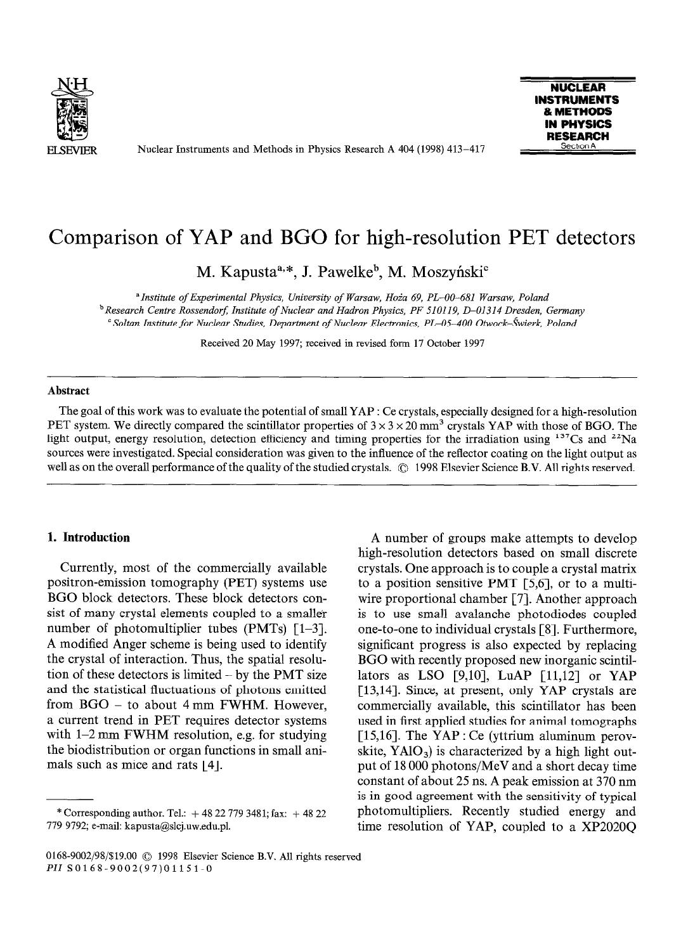

Nuclear Instruments and Methods in Physics Research A 404 (1998) 413-417



# Comparison of YAP and BGO for high-resolution PET detectors

M. Kapusta<sup>a,\*</sup>, J. Pawelke<sup>b</sup>, M. Moszyński<sup>e</sup>

*aInstitute of Experimental Physics, University of Warsaw, Hoia 69, PL-00-681 Warsaw, Poland bResearch Centre Rossendorj Institute of Nuclear and Hadron Physics, PF 510119, D-01314 Dresden, Germany ' Soltan Institute for Nuclear Studies, Department of Nuclear Electronics, PL-05-400 Otwock-hievk, Poland* 

Received 20 May 1997; received in revised form 17 October 1997

#### **Abstract**

The goal of this work was to evaluate the potential of small YAP **: Ce** crystals, especially designed for a high-resolution PET system. We directly compared the scintillator properties of  $3 \times 3 \times 20$  mm<sup>3</sup> crystals YAP with those of BGO. The light output, energy resolution, detection efficiency and timing properties for the irradiation using  $137Cs$  and  $22Na$ sources were investigated. Special consideration was given to the influence of the reflector coating on the light output as well as on the overall performance of the quality of the studied crystals. © 1998 Elsevier Science B.V. All rights reserved.

# **1. Introduction**

Currently, most of the commercially available positron-emission tomography (PET) systems use BGO block detectors. These block detectors consist of many crystal elements coupled to a smaller number of photomultiplier tubes  $(PMTs)$  [1-3]. A modified Anger scheme is being used to identify the crystal of interaction. Thus, the spatial resolution of these detectors is limited  $-$  by the PMT size and the statistical fluctuations of photons emitted from BGO - to about 4 mm FWHM. However, a current trend in PET requires detector systems with  $1-2$  mm FWHM resolution, e.g. for studying the biodistribution or organ functions in small animals such as mice and rats [4].

A number of groups make attempts to develop high-resolution detectors based on small discrete crystals. One approach is to couple a crystal matrix to a position sensitive PMT [5,6], or to a multiwire proportional chamber [7]. Another approach is to use small avalanche photodiodes coupled one-to-one to individual crystals [S]. Furthermore, significant progress is also expected by replacing BGO with recently proposed new inorganic scintillators as LSO [9,10], LuAP [11,12] or YAP [13,14]. Since, at present, only YAP crystals are commercially available, this scintillator has been used in first applied studies for animal tomographs [15,16]. The YAP : Ce (yttrium aluminum perovskite,  $YAO<sub>3</sub>$ ) is characterized by a high light output of 18 000 photons/MeV and a short decay time constant of about 25 ns. A peak emission at 370 nm is in good agreement with the sensitivity of typical photomultipliers. Recently studied energy and time resolution of YAP, coupled to a XP2020Q

<sup>\*</sup> Corresponding author. Tel.:  $+ 48 22 779 3481$ ; fax:  $+ 48 22$ 779 9792; e-mail: kapusta@slcj.uw.edu.pl.

<sup>0168-9002/98/\$19.00 © 1998</sup> Elsevier Science B.V. All rights reserved PII SO168-9002(97)01151-O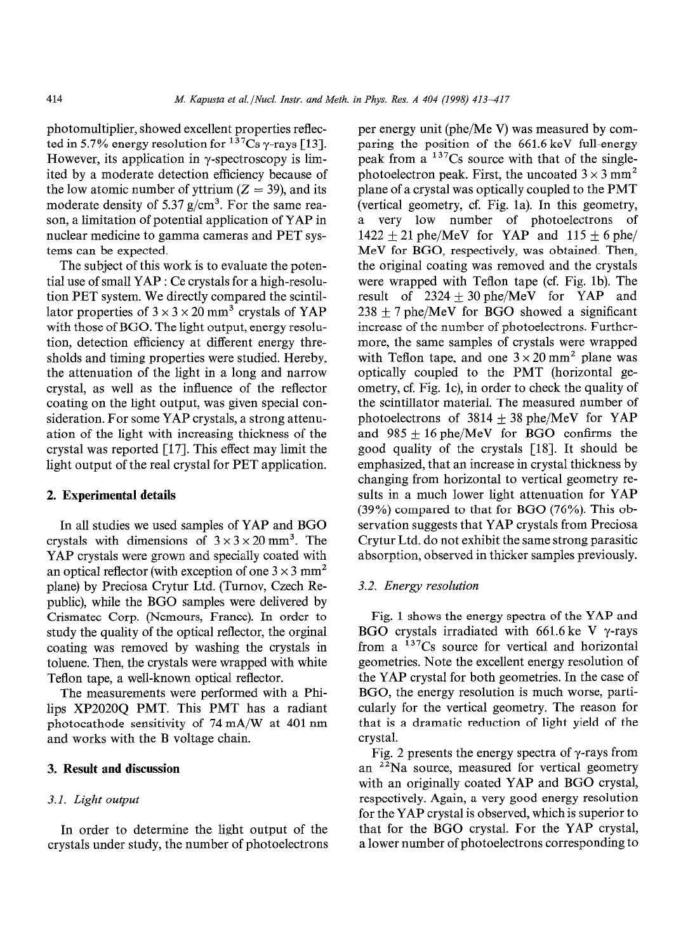photomultiplier, showed excellent properties reflected in 5.7% energy resolution for  $137Cs$   $\gamma$ -rays [13]. However, its application in  $\gamma$ -spectroscopy is limited by a moderate detection efficiency because of the low atomic number of yttrium  $(Z = 39)$ , and its moderate density of 5.37  $g/cm<sup>3</sup>$ . For the same reason, a limitation of potential application of YAP in nuclear medicine to gamma cameras and PET systems can be expected.

The subject of this work is to evaluate the potential use of small YAP : Ce crystals for a high-resolution PET system. We directly compared the scintillator properties of  $3 \times 3 \times 20$  mm<sup>3</sup> crystals of YAP with those of BGO. The light output, energy resolution, detection efficiency at different energy thresholds and timing properties were studied. Hereby, the attenuation of the light in a long and narrow crystal, as well as the influence of the reflector coating on the light output, was given special consideration. For some YAP crystals, a strong attenuation of the light with increasing thickness of the crystal was reported [17]. This effect may limit the light output of the real crystal for PET application.

# 2. **Experimental details**

In all studies we used samples of YAP and BGO crystals with dimensions of  $3 \times 3 \times 20$  mm<sup>3</sup>. The YAP crystals were grown and specially coated with an optical reflector (with exception of one  $3 \times 3$  mm<sup>2</sup> plane) by Preciosa Crytur Ltd. (Turnov, Czech Republic), while the BGO samples were delivered by Crismatec Corp. (Nemours, France). In order to study the quality of the optical reflector, the orginal coating was removed by washing the crystals in toluene. Then, the crystals were wrapped with white Teflon tape, a well-known optical reflector.

The measurements were performed with a Philips XP2020Q PMT. This PMT has a radiant photocathode sensitivity of 74 mA/W at 401 nm and works with the B voltage chain.

## 3. **Result and discussion**

### **3.1.** *Light output*

In order to determine the light output of the crystals under study, the number of photoelectrons per energy unit (phe/Me V) was measured by comparing the position of the 661.6 keV full-energy peak from  $a^{137}Cs$  source with that of the singlephotoelectron peak. First, the uncoated  $3 \times 3$  mm<sup>2</sup> plane of a crystal was optically coupled to the PMT (vertical geometry, cf. Fig. la). In this geometry, a very low number of photoelectrons of  $1422 \pm 21$  phe/MeV for YAP and  $115 \pm 6$  phe/ MeV for BGO, respectively, was obtained. Then, the original coating was removed and the crystals were wrapped with Teflon tape (cf. Fig. lb). The result of  $2324 \pm 30$  phe/MeV for YAP and  $238 \pm 7$  phe/MeV for BGO showed a significant increase of the number of photoelectrons. Furthermore, the same samples of crystals were wrapped with Teflon tape, and one  $3 \times 20$  mm<sup>2</sup> plane was optically coupled to the PMT (horizontal geometry, cf. Fig. lc), in order to check the quality of the scintillator material. The measured number of photoelectrons of  $3814 + 38$  phe/MeV for YAP and  $985 + 16$  phe/MeV for BGO confirms the good quality of the crystals [18]. It should be emphasized, that an increase in crystal thickness by changing from horizontal to vertical geometry results in a much lower light attenuation for YAP (39%) compared to that for BGO (76%). This observation suggests that YAP crystals from Preciosa Crytur Ltd. do not exhibit the same strong parasitic absorption, observed in thicker samples previously.

#### 3.2. *Energy resolution*

Fig. 1 shows the energy spectra of the YAP and BGO crystals irradiated with 661.6 ke V  $\gamma$ -rays from a  $137Cs$  source for vertical and horizontal geometries. Note the excellent energy resolution of the YAP crystal for both geometries. In the case of BGO, the energy resolution is much worse, particularly for the vertical geometry. The reason for that is a dramatic reduction of light yield of the crystal.

Fig. 2 presents the energy spectra of  $\gamma$ -rays from an <sup>22</sup>Na source, measured for vertical geometry with an originally coated YAP and BGO crystal, respectively. Again, a very good energy resolution for the YAP crystal is observed, which is superior to that for the BGO crystal. For the YAP crystal, a lower number of photoelectrons corresponding to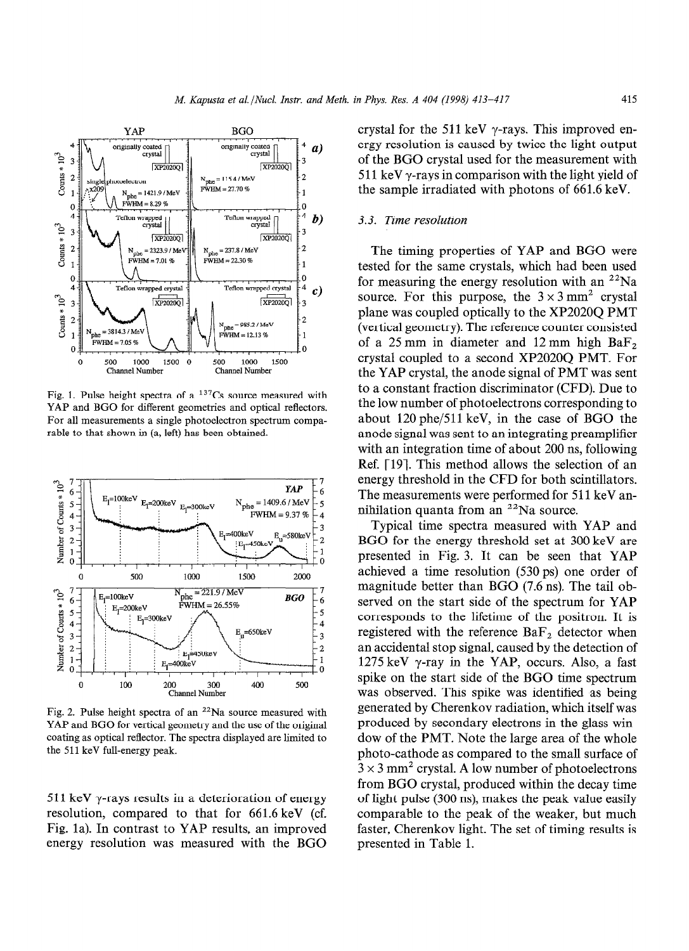

Fig. 1. Pulse height spectra of a  $137Cs$  source measured with YAP and BGO for different geometries and optical reflectors. For all measurements a single photoelectron spectrum comparable to that shown in (a, left) has been obtained.



Fig. 2. Pulse height spectra of an  $22$ Na source measured with YAP and BGO for vertical geometry and the use of the original coating as optical reflector. The spectra displayed are limited to the 511 keV full-energy peak.

511 keV  $\gamma$ -rays results in a deterioration of energy resolution, compared to that for 661.6 keV (cf. Fig. la). In contrast to YAP results, an improved energy resolution was measured with the BGO crystal for the 511 keV  $\gamma$ -rays. This improved energy resolution is caused by twice the light output of the BGO crystal used for the measurement with 511 keV  $\gamma$ -rays in comparison with the light yield of the sample irradiated with photons of 661.6 keV.

## 3.3. Time *resolution*

The timing properties of YAP and BGO were tested for the same crystals, which had been used for measuring the energy resolution with an  $^{22}$ Na source. For this purpose, the  $3 \times 3$  mm<sup>2</sup> crystal plane was coupled optically to the XP2020Q PMT (vertical geometry). The reference counter consisted of a 25 mm in diameter and 12 mm high  $BaF<sub>2</sub>$ crystal coupled to a second XP202OQ PMT. For the YAP crystal, the anode signal of PMT was sent to a constant fraction discriminator (CFD). Due to the low number of photoelectrons corresponding to about 120 phe/511 keV, in the case of BGO the anode signal was sent to an integrating preamplifier with an integration time of about 200 ns, following Ref. [19]. This method allows the selection of an energy threshold in the CFD for both scintillators. The measurements were performed for 511 keV annihilation quanta from an  $^{22}$ Na source.

Typical time spectra measured with YAP and BGO for the energy threshold set at 300 keV are presented in Fig. 3. It can be seen that YAP achieved a time resolution (530 ps) one order of magnitude better than BGO (7.6 ns). The tail observed on the start side of the spectrum for YAP corresponds to the lifetime of the positron. It is registered with the reference  $BaF_2$  detector when an accidental stop signal, caused by the detection of 1275 keV  $\gamma$ -ray in the YAP, occurs. Also, a fast spike on the start side of the BGO time spectrum was observed. This spike was identified as being generated by Cherenkov radiation, which itself was produced by secondary electrons in the glass window of the PMT. Note the large area of the whole photo-cathode as compared to the small surface of  $3 \times 3$  mm<sup>2</sup> crystal. A low number of photoelectrons from BGO crystal, produced within the decay time of light pulse (300 ns), makes the peak value easily comparable to the peak of the weaker, but much faster, Cherenkov light. The set of timing results is presented in Table 1.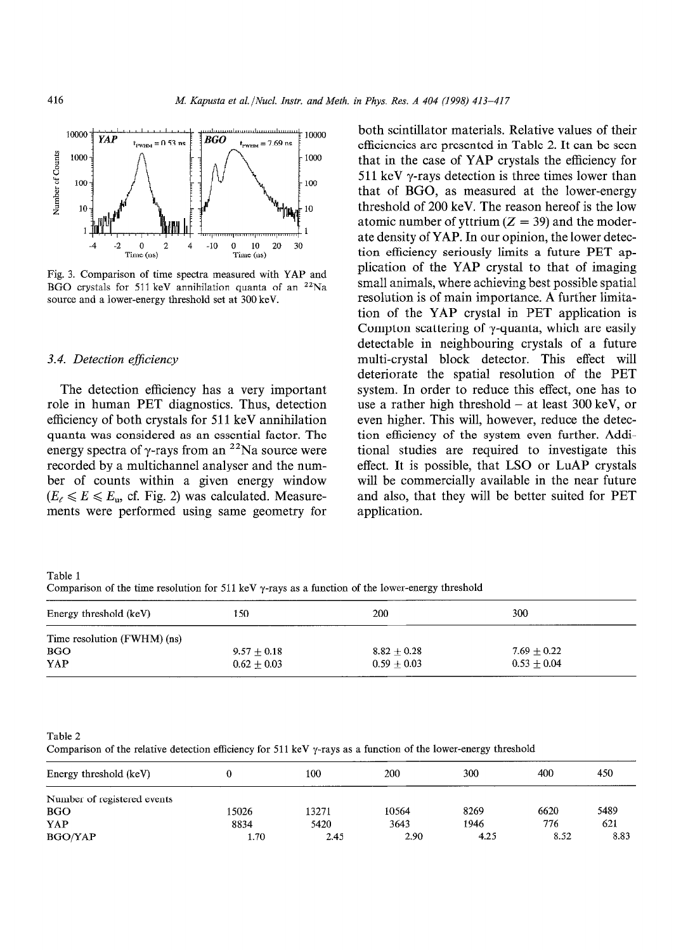

Fig. 3. Comparison of time spectra measured with YAP and BGO crystals for 511 keV annihilation quanta of an  $22$ Na source and a lower-energy threshold set at 300 keV.

### *3.4. Detection ejficiency*

The detection efficiency has a very important role in human PET diagnostics. Thus, detection efficiency of both crystals for 511 keV annihilation quanta was considered as an essential factor. The energy spectra of  $\gamma$ -rays from an <sup>22</sup>Na source were recorded by a multichannel analyser and the number of counts within a given energy window  $(E_{\ell} \leq E \leq E_{\rm u}$ , cf. Fig. 2) was calculated. Measurements were performed using same geometry for both scintillator materials. Relative values of their efficiencies are presented in Table 2. It can be seen that in the case of YAP crystals the efficiency for 511 keV  $\gamma$ -rays detection is three times lower than that of BGO, as measured at the lower-energy threshold of 200 keV. The reason hereof is the low atomic number of yttrium  $(Z = 39)$  and the moderate density of YAP. In our opinion, the lower detection efficiency seriously limits a future PET application of the YAP crystal to that of imaging small animals, where achieving best possible spatial resolution is of main importance. A further limitation of the YAP crystal in PET application is Compton scattering of  $\gamma$ -quanta, which are easily detectable in neighbouring crystals of a future multi-crystal block detector. This effect will deteriorate the spatial resolution of the PET system. In order to reduce this effect, one has to use a rather high threshold  $-$  at least 300 keV, or even higher. This will, however, reduce the detection efficiency of the system even further. Additional studies are required to investigate this effect. It is possible, that LSO or LuAP crystals will be commercially available in the near future and also, that they will be better suited for PET application.

Table 1 Comparison of the time resolution for 511 keV  $\gamma$ -rays as a function of the lower-energy threshold

| Energy threshold (keV)      | 150           | 200           | 300           |  |
|-----------------------------|---------------|---------------|---------------|--|
| Time resolution (FWHM) (ns) |               |               |               |  |
| <b>BGO</b>                  | $9.57 + 0.18$ | $8.82 + 0.28$ | $7.69 + 0.22$ |  |
| YAP                         | $0.62 + 0.03$ | $0.59 + 0.03$ | $0.53 + 0.04$ |  |

Table 2

Comparison of the relative detection efficiency for 511 keV  $\gamma$ -rays as a function of the lower-energy threshold

| Energy threshold (keV)      |       | 100   | 200   | 300  | 400  | 450  |
|-----------------------------|-------|-------|-------|------|------|------|
| Number of registered events |       |       |       |      |      |      |
| <b>BGO</b>                  | 15026 | 13271 | 10564 | 8269 | 6620 | 5489 |
| YAP                         | 8834  | 5420  | 3643  | 1946 | 776  | 621  |
| <b>BGO/YAP</b>              | 1.70  | 2.45  | 2.90  | 4.25 | 8.52 | 8.83 |